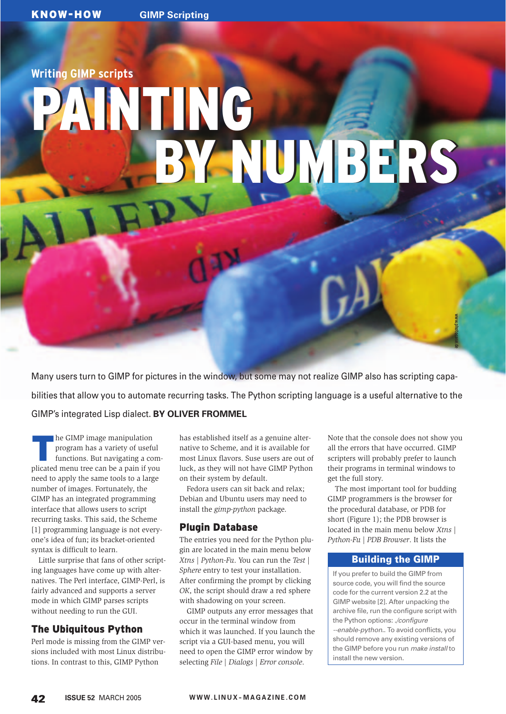# **Writing GIMP scripts**

# PAINTING PAINTING BY NUMBERS

Many users turn to GIMP for pictures in the window, but some may not realize GIMP also has scripting capabilities that allow you to automate recurring tasks. The Python scripting language is a useful alternative to the GIMP's integrated Lisp dialect. **BY OLIVER FROMMEL**

The GIMP image manipulation<br>program has a variety of usef<br>functions. But navigating a continuated many tree can be a pain if w program has a variety of useful functions. But navigating a complicated menu tree can be a pain if you need to apply the same tools to a large number of images. Fortunately, the GIMP has an integrated programming interface that allows users to script recurring tasks. This said, the Scheme [1] programming language is not everyone's idea of fun; its bracket-oriented syntax is difficult to learn.

Little surprise that fans of other scripting languages have come up with alternatives. The Perl interface, GIMP-Perl, is fairly advanced and supports a server mode in which GIMP parses scripts without needing to run the GUI.

### The Ubiquitous Python

Perl mode is missing from the GIMP versions included with most Linux distributions. In contrast to this, GIMP Python

has established itself as a genuine alternative to Scheme, and it is available for most Linux flavors. Suse users are out of luck, as they will not have GIMP Python on their system by default.

Fedora users can sit back and relax; Debian and Ubuntu users may need to install the *gimp-python* package.

### Plugin Database

The entries you need for the Python plugin are located in the main menu below *Xtns | Python-Fu*. You can run the *Test | Sphere* entry to test your installation. After confirming the prompt by clicking *OK*, the script should draw a red sphere with shadowing on your screen.

GIMP outputs any error messages that occur in the terminal window from which it was launched. If you launch the script via a GUI-based menu, you will need to open the GIMP error window by selecting *File | Dialogs | Error console*.

Note that the console does not show you all the errors that have occurred. GIMP scripters will probably prefer to launch their programs in terminal windows to get the full story.

www.photocase.de

The most important tool for budding GIMP programmers is the browser for the procedural database, or PDB for short (Figure 1); the PDB browser is located in the main menu below *Xtns | Python-Fu | PDB Browser*. It lists the

### **Building the GIMP**

If you prefer to build the GIMP from source code, you will find the source code for the current version 2.2 at the GIMP website [2]. After unpacking the archive file, run the configure script with the Python options: *./configure --enable-python.*. To avoid conflicts, you should remove any existing versions of the GIMP before you run *make install* to install the new version.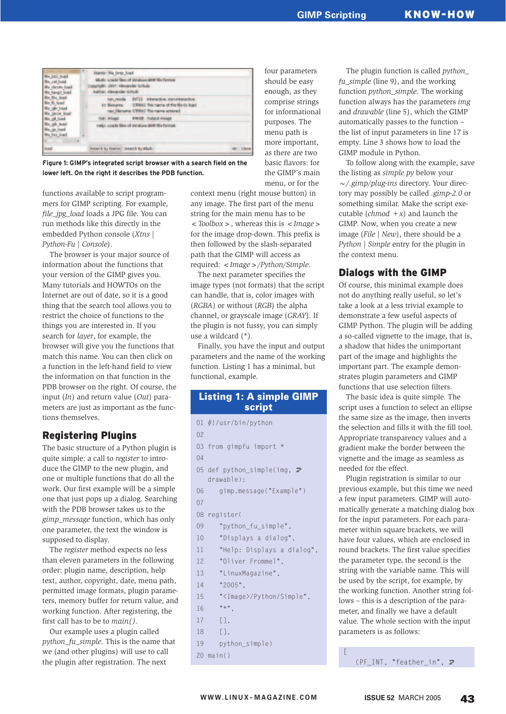| <b>Band</b>                                                   |  | <b>SAACE by NATH! SAMCE by Blut-</b>                                                                                                     | <b>Il Close</b> |
|---------------------------------------------------------------|--|------------------------------------------------------------------------------------------------------------------------------------------|-----------------|
| the Pay load                                                  |  | Help: Loady files of strutoes are the format                                                                                             |                 |
| <b>He Fits load</b>                                           |  | <b>BIRDE: Dulplut Innauge</b><br>Coll: Integer                                                                                           |                 |
|                                                               |  | tuty reade  BIT32: Interactive, numeritaristive<br>in Newares ETHIC The rarra of the Nets lead<br>rax filerams STMIG The rams entered    |                 |
| the ball load<br><b>Sie cel Insid</b><br><b>Mu faxal load</b> |  | Harne: Ne brep load<br>Middle size of the of virubous grow the format<br>Exapredit: 1997. Alexander fatholic<br>Author: Alexander Schuld |                 |

**Figure 1: GIMP's integrated script browser with a search field on the lower left. On the right it describes the PDB function.**

functions available to script programmers for GIMP scripting. For example, *file\_jpg\_load* loads a JPG file. You can run methods like this directly in the embedded Python console (*Xtns | Python-Fu | Console*).

The browser is your major source of information about the functions that your version of the GIMP gives you. Many tutorials and HOWTOs on the Internet are out of date, so it is a good thing that the search tool allows you to restrict the choice of functions to the things you are interested in. If you search for *layer*, for example, the browser will give you the functions that match this name. You can then click on a function in the left-hand field to view the information on that function in the PDB browser on the right. Of course, the input (*In*) and return value (*Out*) parameters are just as important as the functions themselves.

### Registering Plugins

The basic structure of a Python plugin is quite simple: a call to *register* to introduce the GIMP to the new plugin, and one or multiple functions that do all the work. Our first example will be a simple one that just pops up a dialog. Searching with the PDB browser takes us to the *gimp\_message* function, which has only one parameter, the text the window is supposed to display.

The *register* method expects no less than eleven parameters in the following order: plugin name, description, help text, author, copyright, date, menu path, permitted image formats, plugin parameters, memory buffer for return value, and working function. After registering, the first call has to be to *main()*.

Our example uses a plugin called *python\_fu\_simple*. This is the name that we (and other plugins) will use to call the plugin after registration. The next

as there are two basic flavors: for the GIMP's main menu, or for the context menu (right mouse button) in any image. The first part of the menu string for the main menu has to be *<Toolbox>*, whereas this is *<Image>* for the image drop-down. This prefix is then followed by the slash-separated

required: *<Image>/Python/Simple*. The next parameter specifies the image types (not formats) that the script can handle, that is, color images with (*RGBA*) or without (*RGB*) the alpha channel, or grayscale image (*GRAY*). If the plugin is not fussy, you can simply use a wildcard (\*).

path that the GIMP will access as

Finally, you have the input and output parameters and the name of the working function. Listing 1 has a minimal, but functional, example.

### **Listing 1: A simple GIMP script**

```
01 #!/usr/bin/python
02
03 from gimpfu import *
0405 def python_simple(img, \overline{z}drawable):
06 gimp.message("Example")
07
08 register(
09 "python_fu_simple",
10 "Displays a dialog",
11 "Help: Displays a dialog",
12 "Oliver Frommel",
13 "LinuxMagazine",
14 "2005",
15 "<Image>/Python/Simple",
16 "*",
17 [],
18 [],
```

```
19 python_simple)
```

```
20 main()
```
four parameters should be easy enough, as they comprise strings for informational purposes. The menu path is more important,

The plugin function is called *python\_ fu\_simple* (line 9), and the working function *python\_simple*. The working function always has the parameters *img* and *drawable* (line 5), which the GIMP automatically passes to the function – the list of input parameters in line 17 is empty. Line 3 shows how to load the GIMP module in Python.

To follow along with the example, save the listing as *simple.py* below your *~/.gimp/plug-ins* directory. Your directory may possibly be called *.gimp-2.0* or something similar. Make the script executable  $(chmod + x)$  and launch the GIMP. Now, when you create a new image (*File | New*), there should be a *Python | Simple* entry for the plugin in the context menu.

### Dialogs with the GIMP

Of course, this minimal example does not do anything really useful, so let's take a look at a less trivial example to demonstrate a few useful aspects of GIMP Python. The plugin will be adding a so-called vignette to the image, that is, a shadow that hides the unimportant part of the image and highlights the important part. The example demonstrates plugin parameters and GIMP functions that use selection filters.

The basic idea is quite simple. The script uses a function to select an ellipse the same size as the image, then inverts the selection and fills it with the fill tool. Appropriate transparency values and a gradient make the border between the vignette and the image as seamless as needed for the effect.

Plugin registration is similar to our previous example, but this time we need a few input parameters. GIMP will automatically generate a matching dialog box for the input parameters. For each parameter within square brackets, we will have four values, which are enclosed in round brackets. The first value specifies the parameter type, the second is the string with the variable name. This will be used by the script, for example, by the working function. Another string follows – this is a description of the parameter, and finally we have a default value. The whole section with the input parameters is as follows:

(PF\_INT, "feather\_in",  $\boldsymbol{z}$ 

[